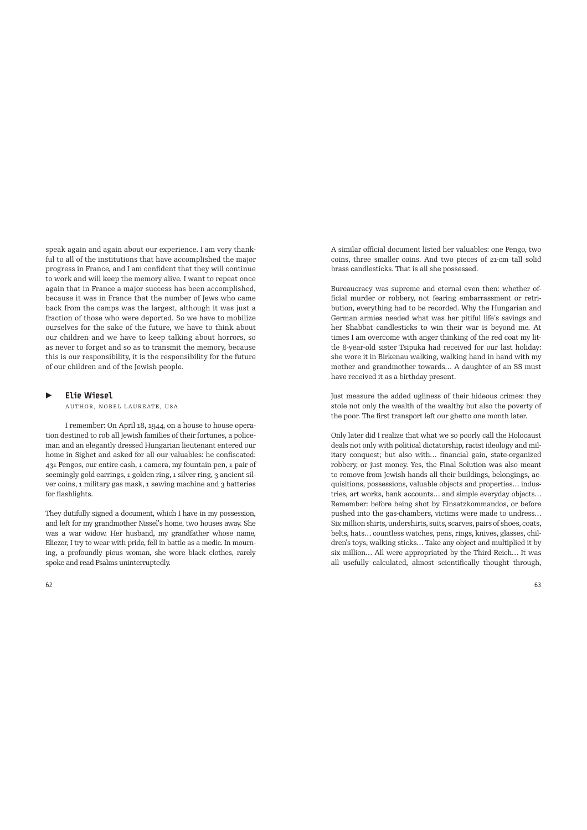speak again and again about our experience. I am very thankful to all of the institutions that have accomplished the major progress in France, and I am confident that they will continue to work and will keep the memory alive. I want to repeat once again that in France a major success has been accomplished, because it was in France that the number of Jews who came back from the camps was the largest, although it was just a fraction of those who were deported. So we have to mobilize ourselves for the sake of the future, we have to think about our children and we have to keep talking about horrors, so as never to forget and so as to transmit the memory, because this is our responsibility, it is the responsibility for the future of our children and of the Jewish people.

## ▶ Elie Wiesel

AUTHOR, NOBEL LAUREATE, USA

I remember: On April 18, 1944, on a house to house operation destined to rob all Jewish families of their fortunes, a policeman and an elegantly dressed Hungarian lieutenant entered our home in Sighet and asked for all our valuables: he confiscated: 431 Pengos, our entire cash, 1 camera, my fountain pen, 1 pair of seemingly gold earrings, 1 golden ring, 1 silver ring, 3 ancient silver coins, 1 military gas mask, 1 sewing machine and 3 batteries for flashlights.

They dutifully signed a document, which I have in my possession, and left for my grandmother Nissel's home, two houses away. She was a war widow. Her husband, my grandfather whose name, Eliezer, I try to wear with pride, fell in battle as a medic. In mourning, a profoundly pious woman, she wore black clothes, rarely spoke and read Psalms uninterruptedly.

A similar official document listed her valuables: one Pengo, two coins, three smaller coins. And two pieces of 21-cm tall solid brass candlesticks. That is all she possessed.

Bureaucracy was supreme and eternal even then: whether official murder or robbery, not fearing embarrassment or retribution, everything had to be recorded. Why the Hungarian and German armies needed what was her pitiful life's savings and her Shabbat candlesticks to win their war is beyond me. At times I am overcome with anger thinking of the red coat my little 8-year-old sister Tsipuka had received for our last holiday: she wore it in Birkenau walking, walking hand in hand with my mother and grandmother towards… A daughter of an SS must have received it as a birthday present.

Just measure the added ugliness of their hideous crimes: they stole not only the wealth of the wealthy but also the poverty of the poor. The first transport left our ghetto one month later.

Only later did I realize that what we so poorly call the Holocaust deals not only with political dictatorship, racist ideology and military conquest; but also with… financial gain, state-organized robbery, or just money. Yes, the Final Solution was also meant to remove from Jewish hands all their buildings, belongings, acquisitions, possessions, valuable objects and properties… industries, art works, bank accounts… and simple everyday objects… Remember: before being shot by Einsatzkommandos, or before pushed into the gas-chambers, victims were made to undress… Six million shirts, undershirts, suits, scarves, pairs of shoes, coats, belts, hats… countless watches, pens, rings, knives, glasses, children's toys, walking sticks… Take any object and multiplied it by six million… All were appropriated by the Third Reich… It was all usefully calculated, almost scientifically thought through,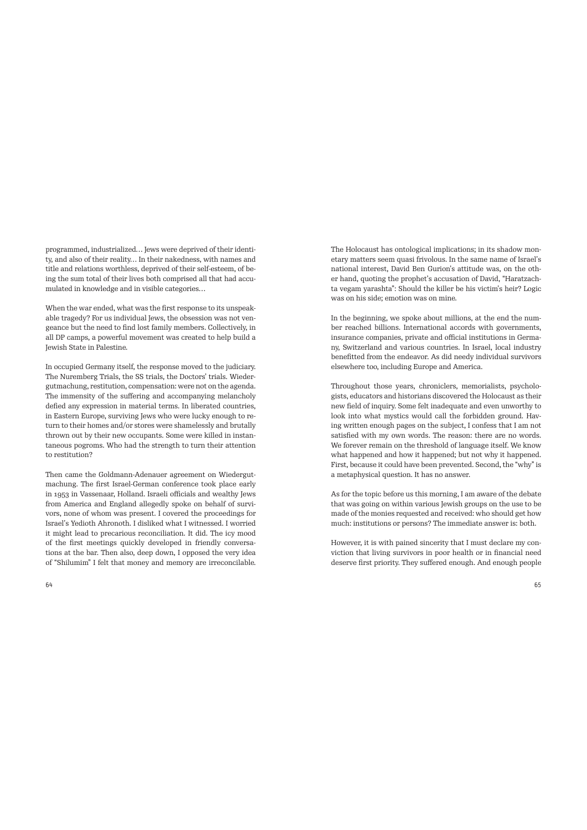programmed, industrialized… Jews were deprived of their identity, and also of their reality… In their nakedness, with names and title and relations worthless, deprived of their self-esteem, of being the sum total of their lives both comprised all that had accumulated in knowledge and in visible categories…

When the war ended, what was the first response to its unspeakable tragedy? For us individual Jews, the obsession was not vengeance but the need to find lost family members. Collectively, in all DP camps, a powerful movement was created to help build a Jewish State in Palestine.

In occupied Germany itself, the response moved to the judiciary. The Nuremberg Trials, the SS trials, the Doctors' trials. Wiedergutmachung, restitution, compensation: were not on the agenda. The immensity of the suffering and accompanying melancholy defied any expression in material terms. In liberated countries, in Eastern Europe, surviving Jews who were lucky enough to return to their homes and/or stores were shamelessly and brutally thrown out by their new occupants. Some were killed in instantaneous pogroms. Who had the strength to turn their attention to restitution?

Then came the Goldmann-Adenauer agreement on Wiedergutmachung. The first Israel-German conference took place early in 1953 in Vassenaar, Holland. Israeli officials and wealthy Jews from America and England allegedly spoke on behalf of survivors, none of whom was present. I covered the proceedings for Israel's Yedioth Ahronoth. I disliked what I witnessed. I worried it might lead to precarious reconciliation. It did. The icy mood of the first meetings quickly developed in friendly conversations at the bar. Then also, deep down, I opposed the very idea of "Shilumim" I felt that money and memory are irreconcilable. The Holocaust has ontological implications; in its shadow monetary matters seem quasi frivolous. In the same name of Israel's national interest, David Ben Gurion's attitude was, on the other hand, quoting the prophet's accusation of David, "Haratzachta vegam yarashta": Should the killer be his victim's heir? Logic was on his side; emotion was on mine.

In the beginning, we spoke about millions, at the end the number reached billions. International accords with governments, insurance companies, private and official institutions in Germany, Switzerland and various countries. In Israel, local industry benefitted from the endeavor. As did needy individual survivors elsewhere too, including Europe and America.

Throughout those years, chroniclers, memorialists, psychologists, educators and historians discovered the Holocaust as their new field of inquiry. Some felt inadequate and even unworthy to look into what mystics would call the forbidden ground. Having written enough pages on the subject, I confess that I am not satisfied with my own words. The reason: there are no words. We forever remain on the threshold of language itself. We know what happened and how it happened; but not why it happened. First, because it could have been prevented. Second, the "why" is a metaphysical question. It has no answer.

As for the topic before us this morning, I am aware of the debate that was going on within various Jewish groups on the use to be made of the monies requested and received: who should get how much: institutions or persons? The immediate answer is: both.

However, it is with pained sincerity that I must declare my conviction that living survivors in poor health or in financial need deserve first priority. They suffered enough. And enough people